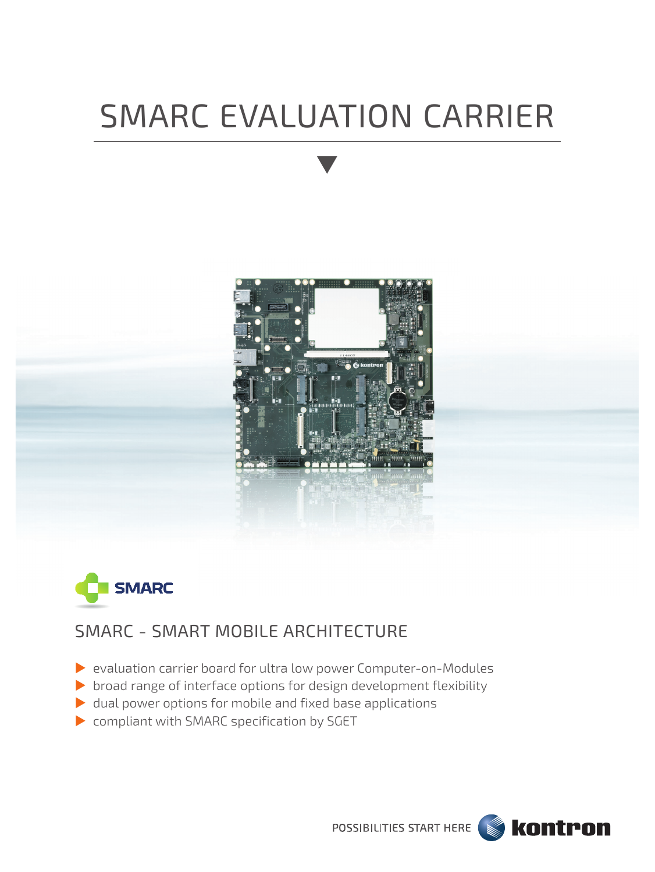# SMARC EVALUATION CARRIER





## SMARC - SMART MOBILE ARCHITECTURE

- evaluation carrier board for ultra low power Computer-on-Modules
- $\triangleright$  broad range of interface options for design development flexibility
- $\blacktriangleright$  dual power options for mobile and fixed base applications
- compliant with SMARC specification by SGET